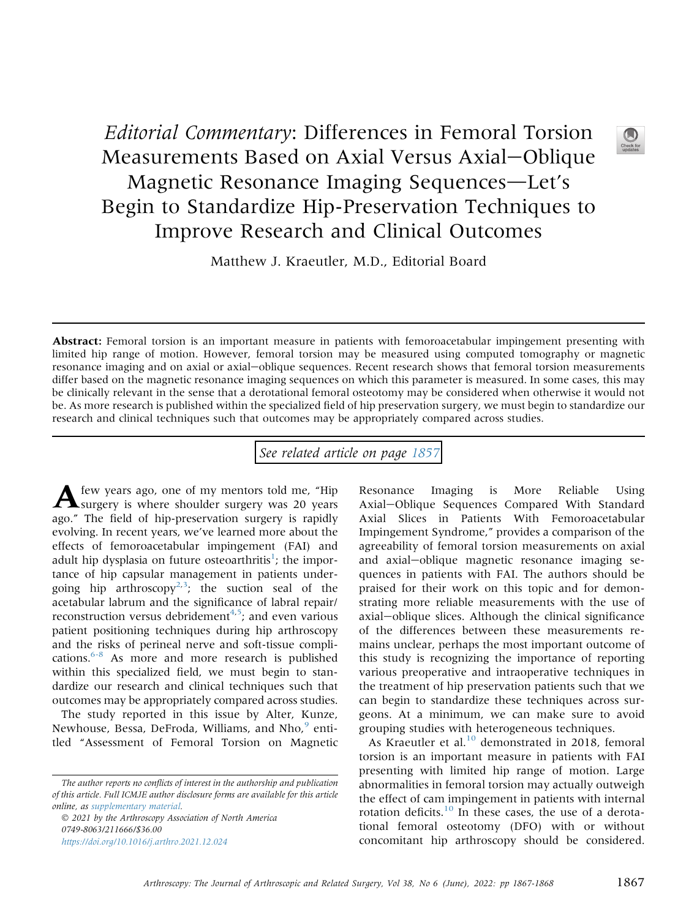## Editorial Commentary: Differences in Femoral Torsion Measurements Based on Axial Versus Axial-Oblique Magnetic Resonance Imaging Sequences-Let's Begin to Standardize Hip-Preservation Techniques to Improve Research and Clinical Outcomes

Matthew J. Kraeutler, M.D., Editorial Board

Abstract: Femoral torsion is an important measure in patients with femoroacetabular impingement presenting with limited hip range of motion. However, femoral torsion may be measured using computed tomography or magnetic resonance imaging and on axial or axial-oblique sequences. Recent research shows that femoral torsion measurements differ based on the magnetic resonance imaging sequences on which this parameter is measured. In some cases, this may be clinically relevant in the sense that a derotational femoral osteotomy may be considered when otherwise it would not be. As more research is published within the specialized field of hip preservation surgery, we must begin to standardize our research and clinical techniques such that outcomes may be appropriately compared across studies.

See related article on page [1857](http://www.arthroscopyjournal.org/article/S0749-8063(21)01044-6/abstract)

A few years ago, one of my mentors told me, "Hip surgery is where shoulder surgery was 20 years ago." The field of hip-preservation surgery is rapidly evolving. In recent years, we've learned more about the effects of femoroacetabular impingement (FAI) and adult hip dysplasia on future osteoarthritis<sup>[1](#page-1-0)</sup>; the importance of hip capsular management in patients under-going hip arthroscopy<sup>[2,](#page-1-1)[3](#page-1-2)</sup>; the suction seal of the acetabular labrum and the significance of labral repair/ reconstruction versus debridement<sup>4[,5](#page-1-4)</sup>; and even various patient positioning techniques during hip arthroscopy and the risks of perineal nerve and soft-tissue complications. $6-8$  As more and more research is published within this specialized field, we must begin to standardize our research and clinical techniques such that outcomes may be appropriately compared across studies.

The study reported in this issue by Alter, Kunze, Newhouse, Bessa, DeFroda, Williams, and Nho,<sup>[9](#page-1-6)</sup> entitled "Assessment of Femoral Torsion on Magnetic

 2021 by the Arthroscopy Association of North America 0749-8063/211666/\$36.00 <https://doi.org/10.1016/j.arthro.2021.12.024>

Resonance Imaging is More Reliable Using Axial-Oblique Sequences Compared With Standard Axial Slices in Patients With Femoroacetabular Impingement Syndrome," provides a comparison of the agreeability of femoral torsion measurements on axial and axial-oblique magnetic resonance imaging sequences in patients with FAI. The authors should be praised for their work on this topic and for demonstrating more reliable measurements with the use of axial-oblique slices. Although the clinical significance of the differences between these measurements remains unclear, perhaps the most important outcome of this study is recognizing the importance of reporting various preoperative and intraoperative techniques in the treatment of hip preservation patients such that we can begin to standardize these techniques across surgeons. At a minimum, we can make sure to avoid grouping studies with heterogeneous techniques.

As Kraeutler et al. $^{10}$  $^{10}$  $^{10}$  demonstrated in 2018, femoral torsion is an important measure in patients with FAI presenting with limited hip range of motion. Large abnormalities in femoral torsion may actually outweigh the effect of cam impingement in patients with internal rotation deficits.[10](#page-1-7) In these cases, the use of a derotational femoral osteotomy (DFO) with or without concomitant hip arthroscopy should be considered.

The author reports no conflicts of interest in the authorship and publication of this article. Full ICMJE author disclosure forms are available for this article online, as supplementary material.